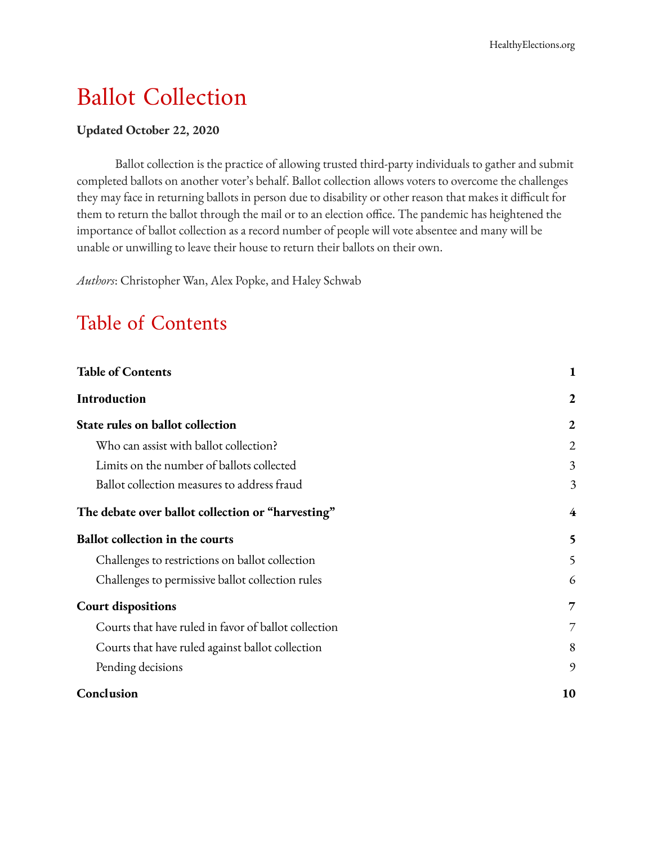# Ballot Collection

#### **Updated October 22, 2020**

Ballot collection is the practice of allowing trusted third-party individuals to gather and submit completed ballots on another voter's behalf. Ballot collection allows voters to overcome the challenges they may face in returning ballots in person due to disability or other reason that makes it difficult for them to return the ballot through the mail or to an election office. The pandemic has heightened the importance of ballot collection as a record number of people will vote absentee and many will be unable or unwilling to leave their house to return their ballots on their own.

*Authors*: Christopher Wan, Alex Popke, and Haley Schwab

## <span id="page-0-0"></span>Table of Contents

| <b>Table of Contents</b>                             | 1  |
|------------------------------------------------------|----|
| <b>Introduction</b>                                  | 2  |
| State rules on ballot collection                     | 2  |
| Who can assist with ballot collection?               | 2  |
| Limits on the number of ballots collected            | 3  |
| Ballot collection measures to address fraud          | 3  |
| The debate over ballot collection or "harvesting"    | 4  |
| <b>Ballot collection in the courts</b>               | 5  |
| Challenges to restrictions on ballot collection      | 5  |
| Challenges to permissive ballot collection rules     | 6  |
| <b>Court dispositions</b>                            | 7  |
| Courts that have ruled in favor of ballot collection | 7  |
| Courts that have ruled against ballot collection     | 8  |
| Pending decisions                                    | 9  |
| Conclusion                                           | 10 |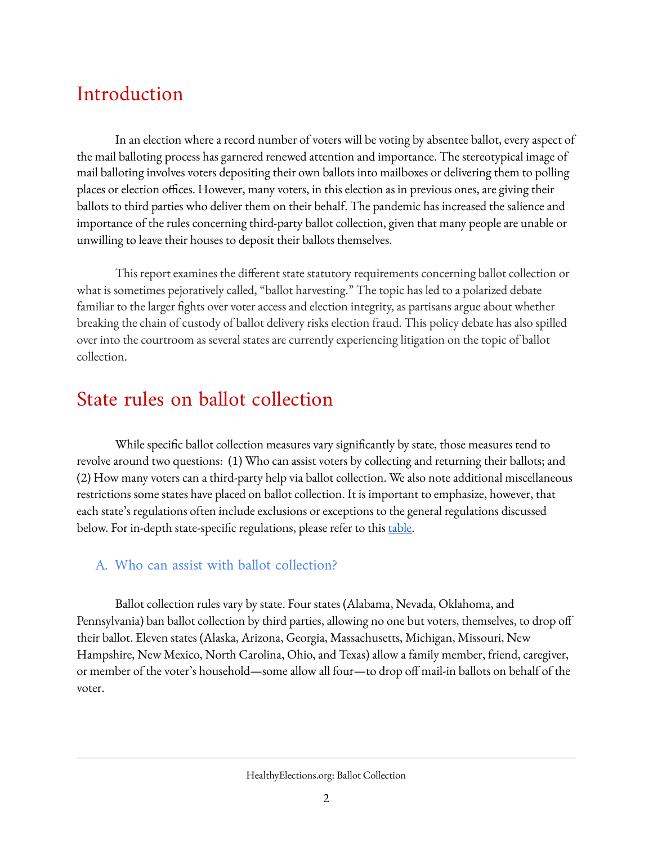## <span id="page-1-0"></span>Introduction

In an election where a record number of voters will be voting by absentee ballot, every aspect of the mail balloting process has garnered renewed attention and importance. The stereotypical image of mail balloting involves voters depositing their own ballots into mailboxes or delivering them to polling places or election offices. However, many voters, in this election as in previous ones, are giving their ballots to third parties who deliver them on their behalf. The pandemic has increased the salience and importance of the rules concerning third-party ballot collection, given that many people are unable or unwilling to leave their houses to deposit their ballots themselves.

This report examines the different state statutory requirements concerning ballot collection or what is sometimes pejoratively called, "ballot harvesting." The topic has led to a polarized debate familiar to the larger fights over voter access and election integrity, as partisans argue about whether breaking the chain of custody of ballot delivery risks election fraud. This policy debate has also spilled over into the courtroom as several states are currently experiencing litigation on the topic of ballot collection.

## <span id="page-1-1"></span>State rules on ballot collection

While specific ballot collection measures vary significantly by state, those measures tend to revolve around two questions: (1) Who can assist voters by collecting and returning their ballots; and (2) How many voters can a third-party help via ballot collection. We also note additional miscellaneous restrictions some states have placed on ballot collection. It is important to emphasize, however, that each state's regulations often include exclusions or exceptions to the general regulations discussed below. For in-depth state-specific regulations, please refer to this [table](https://www.ncsl.org/research/elections-and-campaigns/vopp-table-10-who-can-collect-and-return-an-absentee-ballot-other-than-the-voter.aspx).

#### <span id="page-1-2"></span>A. Who can assist with ballot collection?

Ballot collection rules vary by state. Four states (Alabama, Nevada, Oklahoma, and Pennsylvania) ban ballot collection by third parties, allowing no one but voters, themselves, to drop o their ballot. Eleven states (Alaska, Arizona, Georgia, Massachusetts, Michigan, Missouri, New Hampshire, New Mexico, North Carolina, Ohio, and Texas) allow a family member, friend, caregiver, or member of the voter's household—some allow all four—to drop off mail-in ballots on behalf of the voter.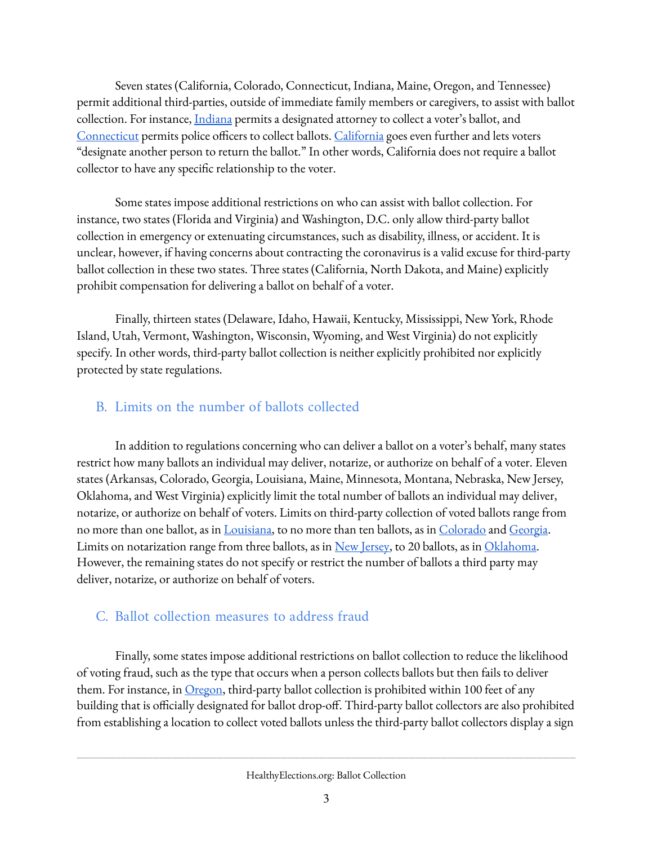Seven states (California, Colorado, Connecticut, Indiana, Maine, Oregon, and Tennessee) permit additional third-parties, outside of immediate family members or caregivers, to assist with ballot collection. For instance, [Indiana](https://codes.findlaw.com/in/title-3-elections/in-code-sect-3-11-10-1.html) permits a designated attorney to collect a voter's ballot, and [Connecticut](https://cga.ct.gov/current/pub/chap_145.htm#sec_9-140b) permits police officers to collect ballots. [California](https://codes.findlaw.com/ca/elections-code/elec-sect-3017.html) goes even further and lets voters "designate another person to return the ballot." In other words, California does not require a ballot collector to have any specific relationship to the voter.

Some states impose additional restrictions on who can assist with ballot collection. For instance, two states (Florida and Virginia) and Washington, D.C. only allow third-party ballot collection in emergency or extenuating circumstances, such as disability, illness, or accident. It is unclear, however, if having concerns about contracting the coronavirus is a valid excuse for third-party ballot collection in these two states. Three states (California, North Dakota, and Maine) explicitly prohibit compensation for delivering a ballot on behalf of a voter.

Finally, thirteen states (Delaware, Idaho, Hawaii, Kentucky, Mississippi, New York, Rhode Island, Utah, Vermont, Washington, Wisconsin, Wyoming, and West Virginia) do not explicitly specify. In other words, third-party ballot collection is neither explicitly prohibited nor explicitly protected by state regulations.

### <span id="page-2-0"></span>B. Limits on the number of ballots collected

In addition to regulations concerning who can deliver a ballot on a voter's behalf, many states restrict how many ballots an individual may deliver, notarize, or authorize on behalf of a voter. Eleven states (Arkansas, Colorado, Georgia, Louisiana, Maine, Minnesota, Montana, Nebraska, New Jersey, Oklahoma, and West Virginia) explicitly limit the total number of ballots an individual may deliver, notarize, or authorize on behalf of voters. Limits on third-party collection of voted ballots range from no more than one ballot, as in [Louisiana,](https://law.justia.com/codes/louisiana/2016/code-revisedstatutes/title-18/rs-18-1308/) to no more than ten ballots, as in [Colorado](https://codes.findlaw.com/co/title-1-elections/co-rev-st-sect-1-7-5-107.html) and [Georgia.](https://law.justia.com/codes/georgia/2014/title-21/chapter-2/article-10/section-21-2-385) Limits on notarization range from three ballots, as in New [Jersey](https://nj.gov/state/dos-statutes-elections-19-60-63.shtml), to 20 ballots, as in [Oklahoma](https://law.justia.com/codes/oklahoma/2016/title-26/section-26-14-108.1/). However, the remaining states do not specify or restrict the number of ballots a third party may deliver, notarize, or authorize on behalf of voters.

### <span id="page-2-1"></span>C. Ballot collection measures to address fraud

Finally, some states impose additional restrictions on ballot collection to reduce the likelihood of voting fraud, such as the type that occurs when a person collects ballots but then fails to deliver them. For instance, in <u>[Oregon](https://www.oregonlaws.org/ors/260.695)</u>, third-party ballot collection is prohibited within 100 feet of any building that is officially designated for ballot drop-off. Third-party ballot collectors are also prohibited from establishing a location to collect voted ballots unless the third-party ballot collectors display a sign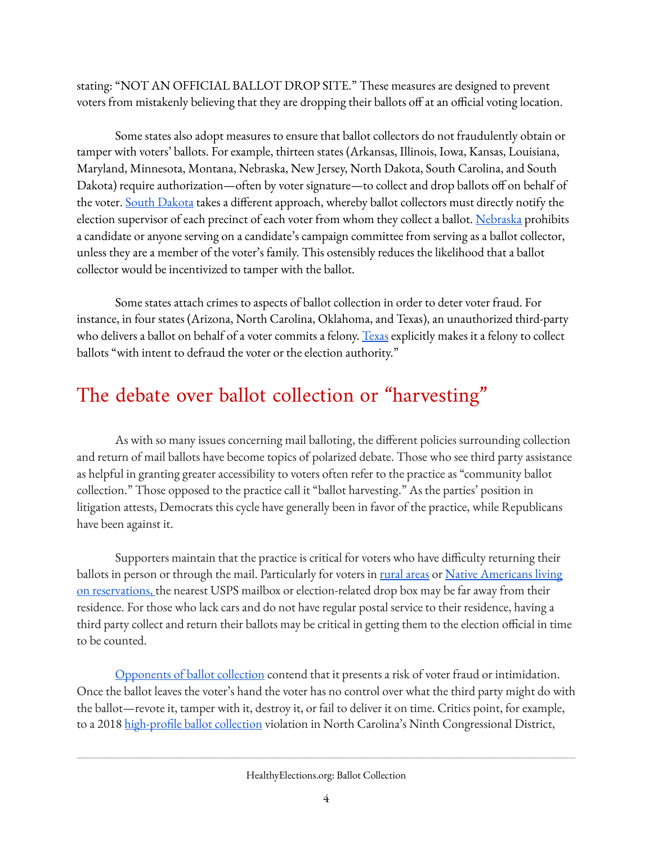stating: "NOT AN OFFICIAL BALLOT DROP SITE." These measures are designed to prevent voters from mistakenly believing that they are dropping their ballots off at an official voting location.

Some states also adopt measures to ensure that ballot collectors do not fraudulently obtain or tamper with voters' ballots. For example, thirteen states (Arkansas, Illinois, Iowa, Kansas, Louisiana, Maryland, Minnesota, Montana, Nebraska, New Jersey, North Dakota, South Carolina, and South Dakota) require authorization—often by voter signature—to collect and drop ballots off on behalf of the voter. <u>South [Dakota](https://sdlegislature.gov/Statutes/Codified_Laws/DisplayStatute.aspx?Type=Statute&Statute=12-19-2.2)</u> takes a different approach, whereby ballot collectors must directly notify the election supervisor of each precinct of each voter from whom they collect a ballot. [Nebraska](https://nebraskalegislature.gov/laws/statutes.php?statute=32-943) prohibits a candidate or anyone serving on a candidate's campaign committee from serving as a ballot collector, unless they are a member of the voter's family. This ostensibly reduces the likelihood that a ballot collector would be incentivized to tamper with the ballot.

Some states attach crimes to aspects of ballot collection in order to deter voter fraud. For instance, in four states (Arizona, North Carolina, Oklahoma, and Texas), an unauthorized third-party who delivers a ballot on behalf of a voter commits a felony. [Texas](https://codes.findlaw.com/tx/election-code/elec-sect-86-006.html) explicitly makes it a felony to collect ballots "with intent to defraud the voter or the election authority."

# <span id="page-3-0"></span>The debate over ballot collection or "harvesting "

As with so many issues concerning mail balloting, the different policies surrounding collection and return of mail ballots have become topics of polarized debate. Those who see third party assistance as helpful in granting greater accessibility to voters often refer to the practice as "community ballot collection." Those opposed to the practice call it "ballot harvesting." As the parties' position in litigation attests, Democrats this cycle have generally been in favor of the practice, while Republicans have been against it.

Supporters maintain that the practice is critical for voters who have difficulty returning their ballots in person or through the mail. Particularly for voters in rural areas or Native Americans living on reservations, the nearest USPS mailbox or election-related drop box may be far away from their residence. For those who lack cars and do not have regular postal service to their residence, having a third party collect and return their ballots may be critical in getting them to the election official in time to be counted.

[Opponents](https://www.chicagotribune.com/election-2020/ct-what-is-ballot-harvesting-20200815-uyyyetfuojbvtpwqsa5gownyba-story.html) of ballot collection contend that it presents a risk of voter fraud or intimidation. Once the ballot leaves the voter's hand the voter has no control over what the third party might do with the ballot—revote it, tamper with it, destroy it, or fail to deliver it on time. Critics point, for example, to a 2018 high-profile ballot collection violation in North Carolina's Ninth Congressional District,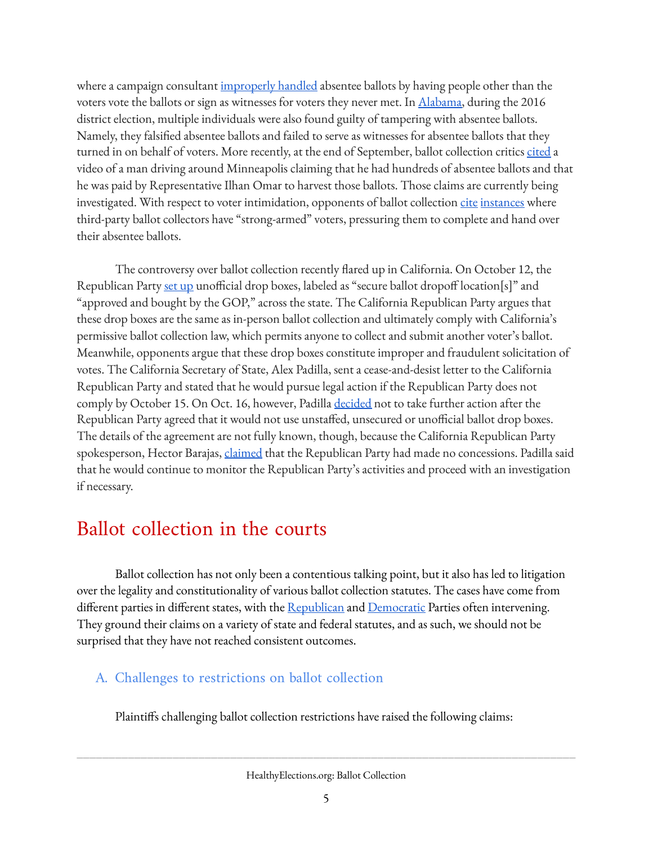where a campaign consultant [improperly](https://www.rollcall.com/2019/02/27/n-c-political-operative-indicted-in-ballot-harvesting-scandal/) handled absentee ballots by having people other than the voters vote the ballots or sign as witnesses for voters they never met. In [Alabama](https://dothaneagle.com/news/crime_court/fourth-person-connected-to-amos-newsome-campaign-guilty-of-absentee-ballot-fraud/article_e723ecbe-b8a4-11e5-9bec-5bc9ccad9885.html), during the 2016 district election, multiple individuals were also found guilty of tampering with absentee ballots. Namely, they falsified absentee ballots and failed to serve as witnesses for absentee ballots that they turned in on behalf of voters. More recently, at the end of September, ballot collection critics [cited](https://minnesota.cbslocal.com/2020/09/29/project-veritas-report-accuses-ilhan-omar-supporters-of-illegally-harvesting-ballots/) a video of a man driving around Minneapolis claiming that he had hundreds of absentee ballots and that he was paid by Representative Ilhan Omar to harvest those ballots. Those claims are currently being investigated. With respect to voter intimidation, opponents of ballot collection [cite](https://www.orlandoweekly.com/Blogs/archives/2016/03/28/eatonville-mayor-indicted-on-felony-charges-in-election-fraud-case) [instances](https://www.latimes.com/opinion/editorials/la-ed-mail-ballots-harvesting-20171115-story.html) where third-party ballot collectors have "strong-armed" voters, pressuring them to complete and hand over their absentee ballots.

The controversy over ballot collection recently flared up in California. On October 12, the Republican Party <u>set [up](https://apnews.com/article/los-angeles-fresno-elections-california-santa-ana-be803bfe99f5eb35e17a6ee56315deb0)</u> unofficial drop boxes, labeled as "secure ballot dropoff location[s]" and "approved and bought by the GOP," across the state. The California Republican Party argues that these drop boxes are the same as in-person ballot collection and ultimately comply with California's permissive ballot collection law, which permits anyone to collect and submit another voter's ballot. Meanwhile, opponents argue that these drop boxes constitute improper and fraudulent solicitation of votes. The California Secretary of State, Alex Padilla, sent a cease-and-desist letter to the California Republican Party and stated that he would pursue legal action if the Republican Party does not comply by October 15. On Oct. 16, however, Padilla [decided](https://www.npr.org/2020/10/16/923969669/california-eases-off-legal-threats-over-gop-unauthorized-ballot-drop-boxes) not to take further action after the Republican Party agreed that it would not use unstaffed, unsecured or unofficial ballot drop boxes. The details of the agreement are not fully known, though, because the California Republican Party spokesperson, Hector Barajas, [claimed](https://twitter.com/CAGOP/status/1317184659881627649) that the Republican Party had made no concessions. Padilla said that he would continue to monitor the Republican Party's activities and proceed with an investigation if necessary.

## <span id="page-4-0"></span>Ballot collection in the courts

Ballot collection has not only been a contentious talking point, but it also has led to litigation over the legality and constitutionality of various ballot collection statutes. The cases have come from different parties in different states, with the <u>[Republican](https://democracync.org/voting-rights/durham16/)</u> and <u>[Democratic](https://ljc-assets.s3.amazonaws.com/2020/09/2020-09-17-Cook-County-Republican-Party-v.-Pritzker-Memorandum-Opinion-and-Order-Denying-Motion-for-Preliminary-Injunction.pdf)</u> Parties often intervening. They ground their claims on a variety of state and federal statutes, and as such, we should not be surprised that they have not reached consistent outcomes.

### <span id="page-4-1"></span>A. Challenges to restrictions on ballot collection

Plaintiffs challenging ballot collection restrictions have raised the following claims: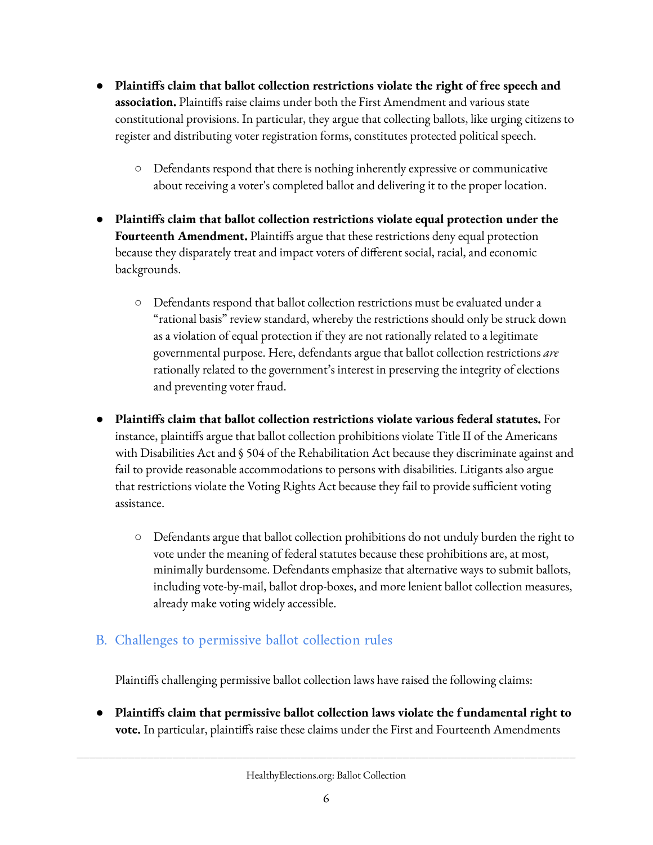- **Plaintis claim that ballot collection restrictions violate the right of free speech and association.** Plaintiffs raise claims under both the First Amendment and various state constitutional provisions. In particular, they argue that collecting ballots, like urging citizens to register and distributing voter registration forms, constitutes protected political speech.
	- Defendants respond that there is nothing inherently expressive or communicative about receiving a voter's completed ballot and delivering it to the proper location.
- **Plaintis claim that ballot collection restrictions violate equal protection under the Fourteenth Amendment.** Plaintiffs argue that these restrictions deny equal protection because they disparately treat and impact voters of different social, racial, and economic backgrounds.
	- Defendants respond that ballot collection restrictions must be evaluated under a "rational basis" review standard, whereby the restrictions should only be struck down as a violation of equal protection if they are not rationally related to a legitimate governmental purpose. Here, defendants argue that ballot collection restrictions *are* rationally related to the government's interest in preserving the integrity of elections and preventing voter fraud.
- **Plaintis claim that ballot collection restrictions violate various federal statutes.** For instance, plaintiffs argue that ballot collection prohibitions violate Title II of the Americans with Disabilities Act and § 504 of the Rehabilitation Act because they discriminate against and fail to provide reasonable accommodations to persons with disabilities. Litigants also argue that restrictions violate the Voting Rights Act because they fail to provide sufficient voting assistance.
	- $\circ$  Defendants argue that ballot collection prohibitions do not unduly burden the right to vote under the meaning of federal statutes because these prohibitions are, at most, minimally burdensome. Defendants emphasize that alternative ways to submit ballots, including vote-by-mail, ballot drop-boxes, and more lenient ballot collection measures, already make voting widely accessible.

### <span id="page-5-0"></span>B. Challenges to permissive ballot collection rules

Plaintiffs challenging permissive ballot collection laws have raised the following claims:

● **Plaintis claim that permissive ballot collection laws violate the f undamental right to vote.** In particular, plaintiffs raise these claims under the First and Fourteenth Amendments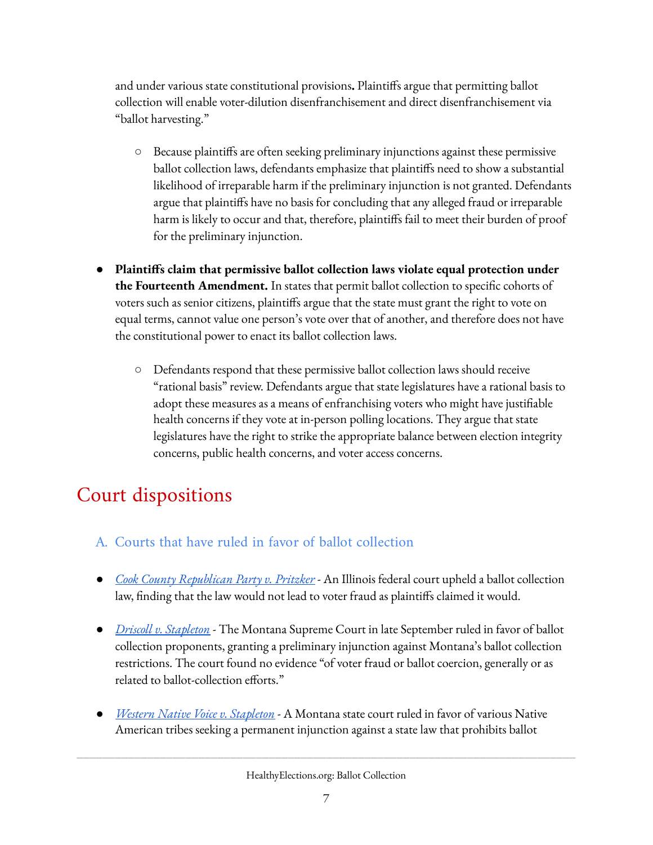and under various state constitutional provisions. Plaintiffs argue that permitting ballot collection will enable voter-dilution disenfranchisement and direct disenfranchisement via "ballot harvesting."

- Because plaintiffs are often seeking preliminary injunctions against these permissive ballot collection laws, defendants emphasize that plaintiffs need to show a substantial likelihood of irreparable harm if the preliminary injunction is not granted. Defendants argue that plaintiffs have no basis for concluding that any alleged fraud or irreparable harm is likely to occur and that, therefore, plaintiffs fail to meet their burden of proof for the preliminary injunction.
- **Plaintis claim that permissive ballot collection laws violate equal protection under the Fourteenth Amendment.** In states that permit ballot collection to specific cohorts of voters such as senior citizens, plaintiffs argue that the state must grant the right to vote on equal terms, cannot value one person's vote over that of another, and therefore does not have the constitutional power to enact its ballot collection laws.
	- Defendants respond that these permissive ballot collection laws should receive "rational basis" review. Defendants argue that state legislatures have a rational basis to adopt these measures as a means of enfranchising voters who might have justifiable health concerns if they vote at in-person polling locations. They argue that state legislatures have the right to strike the appropriate balance between election integrity concerns, public health concerns, and voter access concerns.

## <span id="page-6-0"></span>Court dispositions

- <span id="page-6-1"></span>A. Courts that have ruled in favor of ballot collection
- **●** *Cook County [Republican](https://ljc-assets.s3.amazonaws.com/2020/09/2020-09-17-Cook-County-Republican-Party-v.-Pritzker-Memorandum-Opinion-and-Order-Denying-Motion-for-Preliminary-Injunction.pdf) Party v. Pritzker* An Illinois federal court upheld a ballot collection law, finding that the law would not lead to voter fraud as plaintiffs claimed it would.
- **●** *Driscoll v. [Stapleton](https://www.democracydocket.com/wp-content/uploads/sites/45/2020/07/Opinion-Published-1.pdf)* The Montana Supreme Court in late September ruled in favor of ballot collection proponents, granting a preliminary injunction against Montana's ballot collection restrictions. The court found no evidence "of voter fraud or ballot coercion, generally or as related to ballot-collection efforts."
- **●** *Western Native Voice v. [Stapleton](https://www.aclu.org/legal-document/complaint-western-native-voice-v-stapleton)* A Montana state court ruled in favor of various Native American tribes seeking a permanent injunction against a state law that prohibits ballot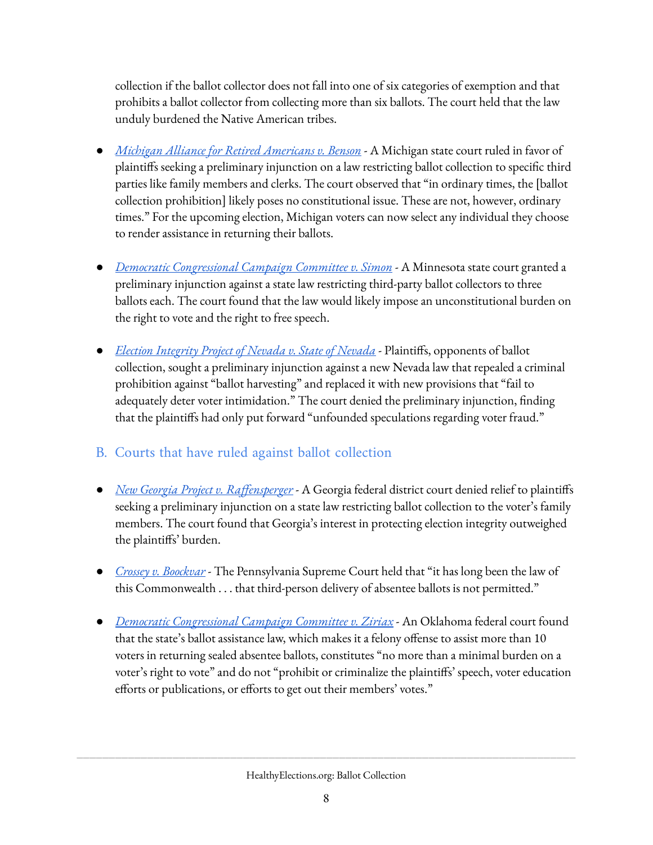collection if the ballot collector does not fall into one of six categories of exemption and that prohibits a ballot collector from collecting more than six ballots. The court held that the law unduly burdened the Native American tribes.

- **●** *Michigan Alliance for Retired [Americans](https://www.courthousenews.com/wp-content/uploads/2020/09/MIBallots.pdf) v. Benson* A Michigan state court ruled in favor of plaintiffs seeking a preliminary injunction on a law restricting ballot collection to specific third parties like family members and clerks. The court observed that "in ordinary times, the [ballot collection prohibition] likely poses no constitutional issue. These are not, however, ordinary times." For the upcoming election, Michigan voters can now select any individual they choose to render assistance in returning their ballots.
- *Democratic [Congressional](https://www.democracydocket.com/wp-content/uploads/sites/45/2020/07/MINN-Ballot-Collection.pdf) Campaign Committee v. Simon* A Minnesota state court granted a preliminary injunction against a state law restricting third-party ballot collectors to three ballots each. The court found that the law would likely impose an unconstitutional burden on the right to vote and the right to free speech.
- **•** *<u>Election [Integrity](https://www.democracydocket.com/wp-content/uploads/sites/45/2020/09/200929-Order-Denying-Plaintiffs-Motion-for-Preliminary-Injunction1.pdf) Project of Nevada v. State of Nevada*</u> Plaintiffs, opponents of ballot collection, sought a preliminary injunction against a new Nevada law that repealed a criminal prohibition against "ballot harvesting" and replaced it with new provisions that "fail to adequately deter voter intimidation." The court denied the preliminary injunction, finding that the plaintiffs had only put forward "unfounded speculations regarding voter fraud."

### <span id="page-7-0"></span>B. Courts that have ruled against ballot collection

- **●** *New Georgia Project v. [Raffensperger](https://www.courtlistener.com/recap/gov.uscourts.gand.276781/gov.uscourts.gand.276781.134.0_4.pdf)* A Georgia federal district court denied relief to plaintis seeking a preliminary injunction on a state law restricting ballot collection to the voter's family members. The court found that Georgia's interest in protecting election integrity outweighed the plaintiffs' burden.
- **●** *Crossey v. [Boockvar](http://www.pacourts.us/assets/opinions/Supreme/out/J-97-2020pco%20-%20104548480113068412.pdf?cb=1)* The Pennsylvania Supreme Court held that "it has long been the law of this Commonwealth . . . that third-person delivery of absentee ballots is not permitted."
- *Democratic [Congressional](https://www.courtlistener.com/recap/gov.uscourts.oknd.53105/gov.uscourts.oknd.53105.56.0.pdf) Campaign Committee v. Ziriax* An Oklahoma federal court found that the state's ballot assistance law, which makes it a felony offense to assist more than 10 voters in returning sealed absentee ballots, constitutes "no more than a minimal burden on a voter's right to vote" and do not "prohibit or criminalize the plaintiffs' speech, voter education efforts or publications, or efforts to get out their members' votes."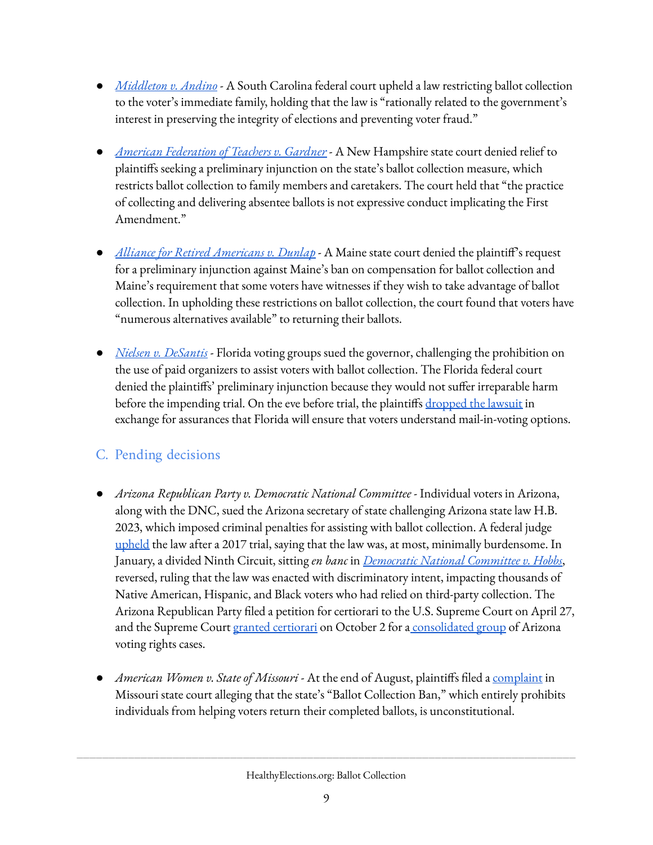- *[Middleton](https://www.courtlistener.com/recap/gov.uscourts.scd.257114/gov.uscourts.scd.257114.109.0.pdf) v. Andino* A South Carolina federal court upheld a law restricting ballot collection to the voter's immediate family, holding that the law is "rationally related to the government's interest in preserving the integrity of elections and preventing voter fraud."
- *American [Federation](https://www.courts.state.nh.us/caseinfo/pdf/civil/AFT/100220AFT-order.pdf) of Teachers v. Gardner* A New Hampshire state court denied relief to plaintiffs seeking a preliminary injunction on the state's ballot collection measure, which restricts ballot collection to family members and caretakers. The court held that "the practice of collecting and delivering absentee ballots is not expressive conduct implicating the First Amendment."
- *Alliance for Retired [Americans](https://www.newscentermaine.com/article/news/politics/elections/court-rules-in-favor-of-maine-sec-of-state-over-extending-absentee-voting-deadline/97-b1eb67b6-11da-4f23-bd9b-93e79721435b) v. Dunlap* A Maine state court denied the plaintiff's request for a preliminary injunction against Maine's ban on compensation for ballot collection and Maine's requirement that some voters have witnesses if they wish to take advantage of ballot collection. In upholding these restrictions on ballot collection, the court found that voters have "numerous alternatives available" to returning their ballots.
- *Nielsen v. [DeSantis](https://www.courtlistener.com/recap/gov.uscourts.flnd.201313/gov.uscourts.flnd.201313.369.0.pdf)* Florida voting groups sued the governor, challenging the prohibition on the use of paid organizers to assist voters with ballot collection. The Florida federal court denied the plaintiffs' preliminary injunction because they would not suffer irreparable harm before the impending trial. On the eve before trial, the plaintiffs [dropped](https://www.thecentersquare.com/florida/vote-by-mail-lawsuit-in-florida-dropped-with-both-sides-claiming-victory/article_ac0a5d78-cab2-11ea-aa66-b317b9146c99.html) the lawsuit in exchange for assurances that Florida will ensure that voters understand mail-in-voting options.

### <span id="page-8-0"></span>C. Pending decisions

- *● Arizona Republican Party v. Democratic National Committee* Individual voters in Arizona, along with the DNC, sued the Arizona secretary of state challenging Arizona state law H.B. 2023, which imposed criminal penalties for assisting with ballot collection. A federal judge [upheld](https://casetext.com/case/feldman-v-ariz-secy-of-states-office-10) the law after a 2017 trial, saying that the law was, at most, minimally burdensome. In January, a divided Ninth Circuit, sitting *en banc* in *[Democratic](https://www.courtlistener.com/pdf/2020/01/27/dnc_v._katie_hobbs.pdf) National Committee v. Hobbs*, reversed, ruling that the law was enacted with discriminatory intent, impacting thousands of Native American, Hispanic, and Black voters who had relied on third-party collection. The Arizona Republican Party filed a petition for certiorari to the U.S. Supreme Court on April 27, and the Supreme Court granted [certiorari](https://www.supremecourt.gov/orders/courtorders/100220zr_7l48.pdf) on October 2 for a [consolidated](https://www.brennancenter.org/our-work/court-cases/voting-rights-litigation-2020#arizona) group of Arizona voting rights cases.
- *American Women v. State of Missouri* At the end of August, plaintiffs filed a <u>[complaint](https://electionlawblog.org/wp-content/uploads/MO-American-Women-20200820-complaint.pdf)</u> in Missouri state court alleging that the state's "Ballot Collection Ban," which entirely prohibits individuals from helping voters return their completed ballots, is unconstitutional.